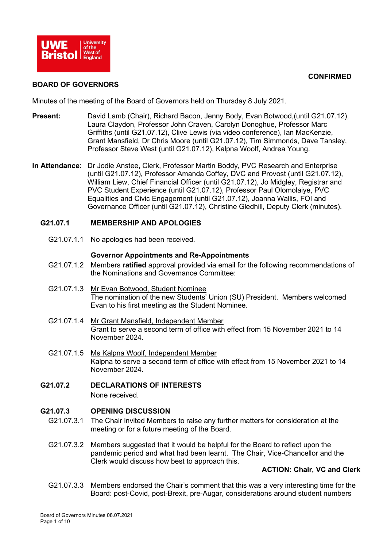

### **CONFIRMED**

### **BOARD OF GOVERNORS**

Minutes of the meeting of the Board of Governors held on Thursday 8 July 2021.

- **Present:** David Lamb (Chair), Richard Bacon, Jenny Body, Evan Botwood,(until G21.07.12), Laura Claydon, Professor John Craven, Carolyn Donoghue, Professor Marc Griffiths (until G21.07.12), Clive Lewis (via video conference), Ian MacKenzie, Grant Mansfield, Dr Chris Moore (until G21.07.12), Tim Simmonds, Dave Tansley, Professor Steve West (until G21.07.12), Kalpna Woolf, Andrea Young.
- **In Attendance**: Dr Jodie Anstee, Clerk, Professor Martin Boddy, PVC Research and Enterprise (until G21.07.12), Professor Amanda Coffey, DVC and Provost (until G21.07.12), William Liew, Chief Financial Officer (until G21.07.12), Jo Midgley, Registrar and PVC Student Experience (until G21.07.12), Professor Paul Olomolaiye, PVC Equalities and Civic Engagement (until G21.07.12), Joanna Wallis, FOI and Governance Officer (until G21.07.12), Christine Gledhill, Deputy Clerk (minutes).

## **G21.07.1 MEMBERSHIP AND APOLOGIES**

G21.07.1.1 No apologies had been received.

#### **Governor Appointments and Re-Appointments**

- G21.07.1.2 Members **ratified** approval provided via email for the following recommendations of the Nominations and Governance Committee:
- G21.07.1.3 Mr Evan Botwood, Student Nominee The nomination of the new Students' Union (SU) President. Members welcomed Evan to his first meeting as the Student Nominee.
- G21.07.1.4 Mr Grant Mansfield, Independent Member Grant to serve a second term of office with effect from 15 November 2021 to 14 November 2024.
- G21.07.1.5 Ms Kalpna Woolf, Independent Member Kalpna to serve a second term of office with effect from 15 November 2021 to 14 November 2024.

# **G21.07.2 DECLARATIONS OF INTERESTS**

None received.

#### **G21.07.3 OPENING DISCUSSION**

- G21.07.3.1 The Chair invited Members to raise any further matters for consideration at the meeting or for a future meeting of the Board.
- G21.07.3.2 Members suggested that it would be helpful for the Board to reflect upon the pandemic period and what had been learnt. The Chair, Vice-Chancellor and the Clerk would discuss how best to approach this.

## **ACTION: Chair, VC and Clerk**

G21.07.3.3 Members endorsed the Chair's comment that this was a very interesting time for the Board: post-Covid, post-Brexit, pre-Augar, considerations around student numbers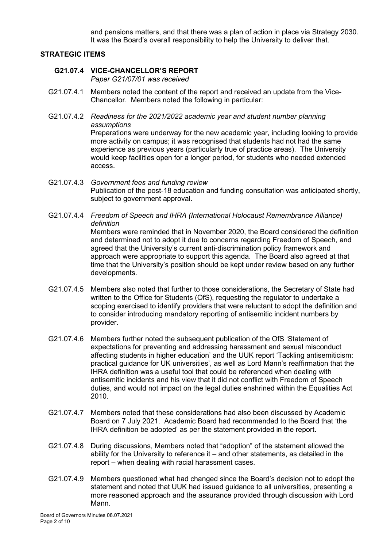and pensions matters, and that there was a plan of action in place via Strategy 2030. It was the Board's overall responsibility to help the University to deliver that.

## **STRATEGIC ITEMS**

## **G21.07.4 VICE-CHANCELLOR'S REPORT**

access.

*Paper G21/07/01 was received*

- G21.07.4.1 Members noted the content of the report and received an update from the Vice-Chancellor. Members noted the following in particular:
- G21.07.4.2 *Readiness for the 2021/2022 academic year and student number planning assumptions* Preparations were underway for the new academic year, including looking to provide more activity on campus; it was recognised that students had not had the same experience as previous years (particularly true of practice areas). The University would keep facilities open for a longer period, for students who needed extended
- G21.07.4.3 *Government fees and funding review* Publication of the post-18 education and funding consultation was anticipated shortly, subject to government approval.
- G21.07.4.4 *Freedom of Speech and IHRA (International Holocaust Remembrance Alliance) definition* Members were reminded that in November 2020, the Board considered the definition and determined not to adopt it due to concerns regarding Freedom of Speech, and agreed that the University's current anti-discrimination policy framework and approach were appropriate to support this agenda. The Board also agreed at that time that the University's position should be kept under review based on any further developments.
- G21.07.4.5 Members also noted that further to those considerations, the Secretary of State had written to the Office for Students (OfS), requesting the regulator to undertake a scoping exercised to identify providers that were reluctant to adopt the definition and to consider introducing mandatory reporting of antisemitic incident numbers by provider.
- G21.07.4.6 Members further noted the subsequent publication of the OfS 'Statement of expectations for preventing and addressing harassment and sexual misconduct affecting students in higher education' and the UUK report 'Tackling antisemiticism: practical guidance for UK universities', as well as Lord Mann's reaffirmation that the IHRA definition was a useful tool that could be referenced when dealing with antisemitic incidents and his view that it did not conflict with Freedom of Speech duties, and would not impact on the legal duties enshrined within the Equalities Act 2010.
- G21.07.4.7 Members noted that these considerations had also been discussed by Academic Board on 7 July 2021. Academic Board had recommended to the Board that 'the IHRA definition be adopted' as per the statement provided in the report.
- G21.07.4.8 During discussions, Members noted that "adoption" of the statement allowed the ability for the University to reference it  $-$  and other statements, as detailed in the report – when dealing with racial harassment cases.
- G21.07.4.9 Members questioned what had changed since the Board's decision not to adopt the statement and noted that UUK had issued guidance to all universities, presenting a more reasoned approach and the assurance provided through discussion with Lord Mann.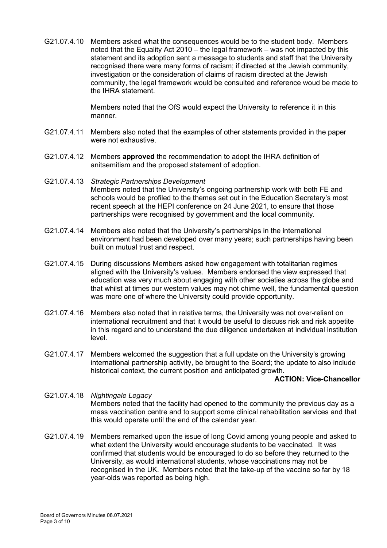G21.07.4.10 Members asked what the consequences would be to the student body. Members noted that the Equality Act 2010 – the legal framework – was not impacted by this statement and its adoption sent a message to students and staff that the University recognised there were many forms of racism; if directed at the Jewish community, investigation or the consideration of claims of racism directed at the Jewish community, the legal framework would be consulted and reference woud be made to the IHRA statement.

> Members noted that the OfS would expect the University to reference it in this manner.

- G21.07.4.11 Members also noted that the examples of other statements provided in the paper were not exhaustive.
- G21.07.4.12 Members **approved** the recommendation to adopt the IHRA definition of anitsemitism and the proposed statement of adoption.
- G21.07.4.13 *Strategic Partnerships Development* Members noted that the University's ongoing partnership work with both FE and schools would be profiled to the themes set out in the Education Secretary's most recent speech at the HEPI conference on 24 June 2021, to ensure that those partnerships were recognised by government and the local community.
- G21.07.4.14 Members also noted that the University's partnerships in the international environment had been developed over many years; such partnerships having been built on mutual trust and respect.
- G21.07.4.15 During discussions Members asked how engagement with totalitarian regimes aligned with the University's values. Members endorsed the view expressed that education was very much about engaging with other societies across the globe and that whilst at times our western values may not chime well, the fundamental question was more one of where the University could provide opportunity.
- G21.07.4.16 Members also noted that in relative terms, the University was not over-reliant on international recruitment and that it would be useful to discuss risk and risk appetite in this regard and to understand the due diligence undertaken at individual institution level.
- G21.07.4.17 Members welcomed the suggestion that a full update on the University's growing international partnership activity, be brought to the Board; the update to also include historical context, the current position and anticipated growth.

#### **ACTION: Vice-Chancellor**

- G21.07.4.18 *Nightingale Legacy* Members noted that the facility had opened to the community the previous day as a mass vaccination centre and to support some clinical rehabilitation services and that this would operate until the end of the calendar year.
- G21.07.4.19 Members remarked upon the issue of long Covid among young people and asked to what extent the University would encourage students to be vaccinated. It was confirmed that students would be encouraged to do so before they returned to the University, as would international students, whose vaccinations may not be recognised in the UK. Members noted that the take-up of the vaccine so far by 18 year-olds was reported as being high.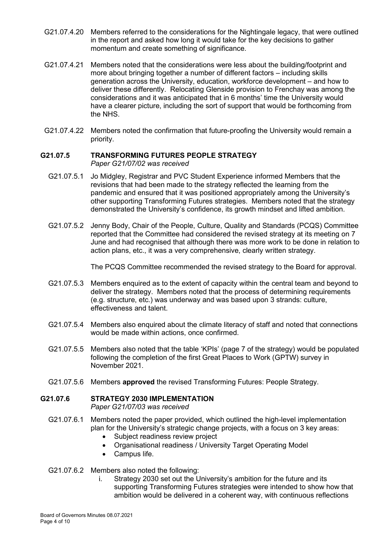- G21.07.4.20 Members referred to the considerations for the Nightingale legacy, that were outlined in the report and asked how long it would take for the key decisions to gather momentum and create something of significance.
- G21.07.4.21 Members noted that the considerations were less about the building/footprint and more about bringing together a number of different factors – including skills generation across the University, education, workforce development – and how to deliver these differently. Relocating Glenside provision to Frenchay was among the considerations and it was anticipated that in 6 months' time the University would have a clearer picture, including the sort of support that would be forthcoming from the NHS.
- G21.07.4.22 Members noted the confirmation that future-proofing the University would remain a priority.

#### **G21.07.5 TRANSFORMING FUTURES PEOPLE STRATEGY** *Paper G21/07/02 was received*

- G21.07.5.1 Jo Midgley, Registrar and PVC Student Experience informed Members that the revisions that had been made to the strategy reflected the learning from the pandemic and ensured that it was positioned appropriately among the University's other supporting Transforming Futures strategies. Members noted that the strategy demonstrated the University's confidence, its growth mindset and lifted ambition.
- G21.07.5.2 Jenny Body, Chair of the People, Culture, Quality and Standards (PCQS) Committee reported that the Committee had considered the revised strategy at its meeting on 7 June and had recognised that although there was more work to be done in relation to action plans, etc., it was a very comprehensive, clearly written strategy.

The PCQS Committee recommended the revised strategy to the Board for approval.

- G21.07.5.3 Members enquired as to the extent of capacity within the central team and beyond to deliver the strategy. Members noted that the process of determining requirements (e.g. structure, etc.) was underway and was based upon 3 strands: culture, effectiveness and talent.
- G21.07.5.4 Members also enquired about the climate literacy of staff and noted that connections would be made within actions, once confirmed.
- G21.07.5.5 Members also noted that the table 'KPIs' (page 7 of the strategy) would be populated following the completion of the first Great Places to Work (GPTW) survey in November 2021.
- G21.07.5.6 Members **approved** the revised Transforming Futures: People Strategy.

# **G21.07.6 STRATEGY 2030 IMPLEMENTATION**

*Paper G21/07/03 was received*

- G21.07.6.1 Members noted the paper provided, which outlined the high-level implementation plan for the University's strategic change projects, with a focus on 3 key areas:
	- Subject readiness review project
	- Organisational readiness / University Target Operating Model
	- Campus life.
- G21.07.6.2 Members also noted the following:
	- i. Strategy 2030 set out the University's ambition for the future and its supporting Transforming Futures strategies were intended to show how that ambition would be delivered in a coherent way, with continuous reflections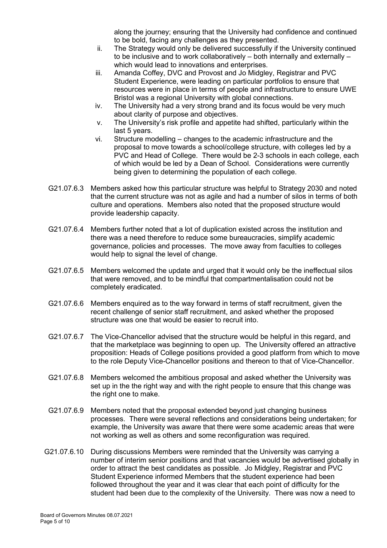along the journey; ensuring that the University had confidence and continued to be bold, facing any challenges as they presented.

- ii. The Strategy would only be delivered successfully if the University continued to be inclusive and to work collaboratively – both internally and externally – which would lead to innovations and enterprises.
- iii. Amanda Coffey, DVC and Provost and Jo Midgley, Registrar and PVC Student Experience, were leading on particular portfolios to ensure that resources were in place in terms of people and infrastructure to ensure UWE Bristol was a regional University with global connections.
- iv. The University had a very strong brand and its focus would be very much about clarity of purpose and objectives.
- v. The University's risk profile and appetite had shifted, particularly within the last 5 years.
- vi. Structure modelling changes to the academic infrastructure and the proposal to move towards a school/college structure, with colleges led by a PVC and Head of College. There would be 2-3 schools in each college, each of which would be led by a Dean of School. Considerations were currently being given to determining the population of each college.
- G21.07.6.3 Members asked how this particular structure was helpful to Strategy 2030 and noted that the current structure was not as agile and had a number of silos in terms of both culture and operations. Members also noted that the proposed structure would provide leadership capacity.
- G21.07.6.4 Members further noted that a lot of duplication existed across the institution and there was a need therefore to reduce some bureaucracies, simplify academic governance, policies and processes. The move away from faculties to colleges would help to signal the level of change.
- G21.07.6.5 Members welcomed the update and urged that it would only be the ineffectual silos that were removed, and to be mindful that compartmentalisation could not be completely eradicated.
- G21.07.6.6 Members enquired as to the way forward in terms of staff recruitment, given the recent challenge of senior staff recruitment, and asked whether the proposed structure was one that would be easier to recruit into.
- G21.07.6.7 The Vice-Chancellor advised that the structure would be helpful in this regard, and that the marketplace was beginning to open up. The University offered an attractive proposition: Heads of College positions provided a good platform from which to move to the role Deputy Vice-Chancellor positions and thereon to that of Vice-Chancellor.
- G21.07.6.8 Members welcomed the ambitious proposal and asked whether the University was set up in the the right way and with the right people to ensure that this change was the right one to make.
- G21.07.6.9 Members noted that the proposal extended beyond just changing business processes. There were several reflections and considerations being undertaken; for example, the University was aware that there were some academic areas that were not working as well as others and some reconfiguration was required.
- G21.07.6.10 During discussions Members were reminded that the University was carrying a number of interim senior positions and that vacancies would be advertised globally in order to attract the best candidates as possible. Jo Midgley, Registrar and PVC Student Experience informed Members that the student experience had been followed throughout the year and it was clear that each point of difficulty for the student had been due to the complexity of the University. There was now a need to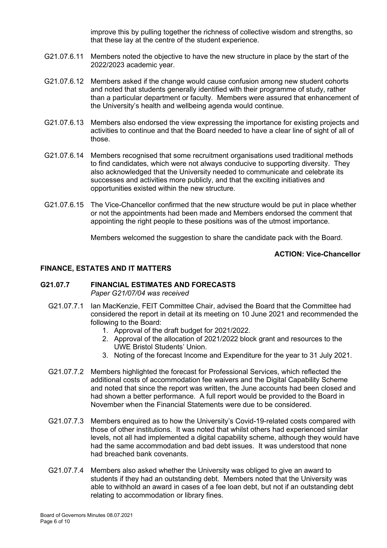improve this by pulling together the richness of collective wisdom and strengths, so that these lay at the centre of the student experience.

- G21.07.6.11 Members noted the objective to have the new structure in place by the start of the 2022/2023 academic year.
- G21.07.6.12 Members asked if the change would cause confusion among new student cohorts and noted that students generally identified with their programme of study, rather than a particular department or faculty. Members were assured that enhancement of the University's health and wellbeing agenda would continue.
- G21.07.6.13 Members also endorsed the view expressing the importance for existing projects and activities to continue and that the Board needed to have a clear line of sight of all of those.
- G21.07.6.14 Members recognised that some recruitment organisations used traditional methods to find candidates, which were not always conducive to supporting diversity. They also acknowledged that the University needed to communicate and celebrate its successes and activities more publicly, and that the exciting initiatives and opportunities existed within the new structure.
- G21.07.6.15 The Vice-Chancellor confirmed that the new structure would be put in place whether or not the appointments had been made and Members endorsed the comment that appointing the right people to these positions was of the utmost importance.

Members welcomed the suggestion to share the candidate pack with the Board.

## **ACTION: Vice-Chancellor**

### **FINANCE, ESTATES AND IT MATTERS**

#### **G21.07.7 FINANCIAL ESTIMATES AND FORECASTS** *Paper G21/07/04 was received*

- G21.07.7.1 Ian MacKenzie, FEIT Committee Chair, advised the Board that the Committee had considered the report in detail at its meeting on 10 June 2021 and recommended the following to the Board:
	- 1. Approval of the draft budget for 2021/2022.
	- 2. Approval of the allocation of 2021/2022 block grant and resources to the UWE Bristol Students' Union.
	- 3. Noting of the forecast Income and Expenditure for the year to 31 July 2021.
- G21.07.7.2 Members highlighted the forecast for Professional Services, which reflected the additional costs of accommodation fee waivers and the Digital Capability Scheme and noted that since the report was written, the June accounts had been closed and had shown a better performance. A full report would be provided to the Board in November when the Financial Statements were due to be considered.
- G21.07.7.3 Members enquired as to how the University's Covid-19-related costs compared with those of other institutions. It was noted that whilst others had experienced similar levels, not all had implemented a digital capability scheme, although they would have had the same accommodation and bad debt issues. It was understood that none had breached bank covenants.
- G21.07.7.4 Members also asked whether the University was obliged to give an award to students if they had an outstanding debt. Members noted that the University was able to withhold an award in cases of a fee loan debt, but not if an outstanding debt relating to accommodation or library fines.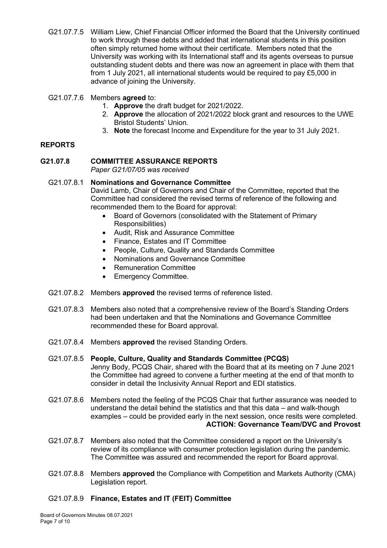- G21.07.7.5 William Liew, Chief Financial Officer informed the Board that the University continued to work through these debts and added that international students in this position often simply returned home without their certificate. Members noted that the University was working with its International staff and its agents overseas to pursue outstanding student debts and there was now an agreement in place with them that from 1 July 2021, all international students would be required to pay £5,000 in advance of joining the University.
- G21.07.7.6 Members **agreed** to:
	- 1. **Approve** the draft budget for 2021/2022.
	- 2. **Approve** the allocation of 2021/2022 block grant and resources to the UWE Bristol Students' Union.
	- 3. **Note** the forecast Income and Expenditure for the year to 31 July 2021.

## **REPORTS**

## **G21.07.8 COMMITTEE ASSURANCE REPORTS**

*Paper G21/07/05 was received*

G21.07.8.1 **Nominations and Governance Committee** David Lamb, Chair of Governors and Chair of the Committee, reported that the Committee had considered the revised terms of reference of the following and recommended them to the Board for approval:

- Board of Governors (consolidated with the Statement of Primary Responsibilities)
- Audit, Risk and Assurance Committee
- Finance, Estates and IT Committee
- People, Culture, Quality and Standards Committee
- Nominations and Governance Committee
- Remuneration Committee
- Emergency Committee.
- G21.07.8.2 Members **approved** the revised terms of reference listed.
- G21.07.8.3 Members also noted that a comprehensive review of the Board's Standing Orders had been undertaken and that the Nominations and Governance Committee recommended these for Board approval.
- G21.07.8.4 Members **approved** the revised Standing Orders.
- G21.07.8.5 **People, Culture, Quality and Standards Committee (PCQS)** Jenny Body, PCQS Chair, shared with the Board that at its meeting on 7 June 2021 the Committee had agreed to convene a further meeting at the end of that month to consider in detail the Inclusivity Annual Report and EDI statistics.
- G21.07.8.6 Members noted the feeling of the PCQS Chair that further assurance was needed to understand the detail behind the statistics and that this data – and walk-though examples – could be provided early in the next session, once resits were completed. **ACTION: Governance Team/DVC and Provost**
- G21.07.8.7 Members also noted that the Committee considered a report on the University's review of its compliance with consumer protection legislation during the pandemic. The Committee was assured and recommended the report for Board approval.
- G21.07.8.8 Members **approved** the Compliance with Competition and Markets Authority (CMA) Legislation report.

## G21.07.8.9 **Finance, Estates and IT (FEIT) Committee**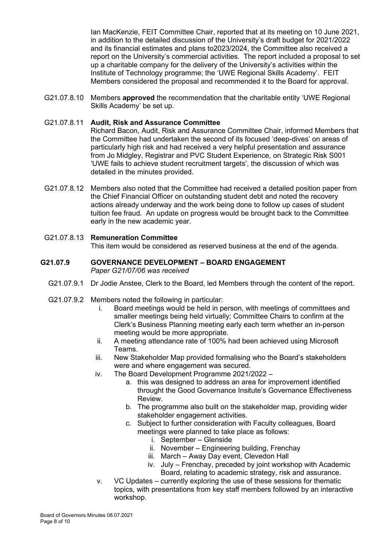Ian MacKenzie, FEIT Committee Chair, reported that at its meeting on 10 June 2021, in addition to the detailed discussion of the University's draft budget for 2021/2022 and its financial estimates and plans to2023/2024, the Committee also received a report on the University's commercial activities. The report included a proposal to set up a charitable company for the delivery of the University's activities within the Institute of Technology programme; the 'UWE Regional Skills Academy'. FEIT Members considered the proposal and recommended it to the Board for approval.

G21.07.8.10 Members **approved** the recommendation that the charitable entity 'UWE Regional Skills Academy' be set up.

## G21.07.8.11 **Audit, Risk and Assurance Committee**

Richard Bacon, Audit, Risk and Assurance Committee Chair, informed Members that the Committee had undertaken the second of its focused 'deep-dives' on areas of particularly high risk and had received a very helpful presentation and assurance from Jo Midgley, Registrar and PVC Student Experience, on Strategic Risk S001 'UWE fails to achieve student recruitment targets', the discussion of which was detailed in the minutes provided.

G21.07.8.12 Members also noted that the Committee had received a detailed position paper from the Chief Financial Officer on outstanding student debt and noted the recovery actions already underway and the work being done to follow up cases of student tuition fee fraud. An update on progress would be brought back to the Committee early in the new academic year.

# G21.07.8.13 **Remuneration Committee**

This item would be considered as reserved business at the end of the agenda.

#### **G21.07.9 GOVERNANCE DEVELOPMENT – BOARD ENGAGEMENT** *Paper G21/07/06 was received*

- G21.07.9.1 Dr Jodie Anstee, Clerk to the Board, led Members through the content of the report.
- G21.07.9.2 Members noted the following in particular:
	- i. Board meetings would be held in person, with meetings of committees and smaller meetings being held virtually; Committee Chairs to confirm at the Clerk's Business Planning meeting early each term whether an in-person meeting would be more appropriate.
	- ii. A meeting attendance rate of 100% had been achieved using Microsoft Teams.
	- iii. New Stakeholder Map provided formalising who the Board's stakeholders were and where engagement was secured.
	- iv. The Board Development Programme 2021/2022
		- a. this was designed to address an area for improvement identified throught the Good Governance Insitute's Governance Effectiveness Review.
		- b. The programme also built on the stakeholder map, providing wider stakeholder engagement activities.
		- c. Subject to further consideration with Faculty colleagues, Board meetings were planned to take place as follows:
			- i. September Glenside
			- ii. November Engineering building, Frenchay
			- iii. March Away Day event, Clevedon Hall
			- iv. July Frenchay, preceded by joint workshop with Academic Board, relating to academic strategy, risk and assurance.
	- v. VC Updates currently exploring the use of these sessions for thematic topics, with presentations from key staff members followed by an interactive workshop.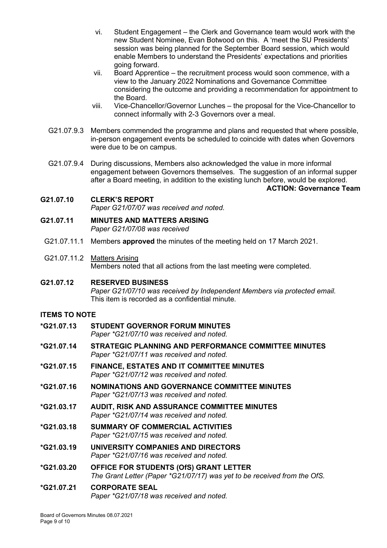- vi. Student Engagement the Clerk and Governance team would work with the new Student Nominee, Evan Botwood on this. A 'meet the SU Presidents' session was being planned for the September Board session, which would enable Members to understand the Presidents' expectations and priorities going forward.
- vii. Board Apprentice the recruitment process would soon commence, with a view to the January 2022 Nominations and Governance Committee considering the outcome and providing a recommendation for appointment to the Board.
- viii. Vice-Chancellor/Governor Lunches the proposal for the Vice-Chancellor to connect informally with 2-3 Governors over a meal.
- G21.07.9.3 Members commended the programme and plans and requested that where possible, in-person engagement events be scheduled to coincide with dates when Governors were due to be on campus.
- G21.07.9.4 During discussions, Members also acknowledged the value in more informal engagement between Governors themselves. The suggestion of an informal supper after a Board meeting, in addition to the existing lunch before, would be explored.

**ACTION: Governance Team**

## **G21.07.10 CLERK'S REPORT**

*Paper G21/07/07 was received and noted.*

- **G21.07.11 MINUTES AND MATTERS ARISING** *Paper G21/07/08 was received*
- G21.07.11.1 Members **approved** the minutes of the meeting held on 17 March 2021.
- G21.07.11.2 Matters Arising Members noted that all actions from the last meeting were completed.

**G21.07.12 RESERVED BUSINESS** *Paper G21/07/10 was received by Independent Members via protected email.* This item is recorded as a confidential minute.

## **ITEMS TO NOTE**

- **\*G21.07.13 STUDENT GOVERNOR FORUM MINUTES** *Paper \*G21/07/10 was received and noted.*
- **\*G21.07.14 STRATEGIC PLANNING AND PERFORMANCE COMMITTEE MINUTES** *Paper \*G21/07/11 was received and noted.*
- **\*G21.07.15 FINANCE, ESTATES AND IT COMMITTEE MINUTES** *Paper \*G21/07/12 was received and noted.*
- **\*G21.07.16 NOMINATIONS AND GOVERNANCE COMMITTEE MINUTES** *Paper \*G21/07/13 was received and noted.*
- **\*G21.03.17 AUDIT, RISK AND ASSURANCE COMMITTEE MINUTES** *Paper \*G21/07/14 was received and noted.*
- **\*G21.03.18 SUMMARY OF COMMERCIAL ACTIVITIES** *Paper \*G21/07/15 was received and noted.*
- **\*G21.03.19 UNIVERSITY COMPANIES AND DIRECTORS** *Paper \*G21/07/16 was received and noted.*
- **\*G21.03.20 OFFICE FOR STUDENTS (OfS) GRANT LETTER**  *The Grant Letter (Paper \*G21/07/17) was yet to be received from the OfS.*

### **\*G21.07.21 CORPORATE SEAL** *Paper \*G21/07/18 was received and noted.*